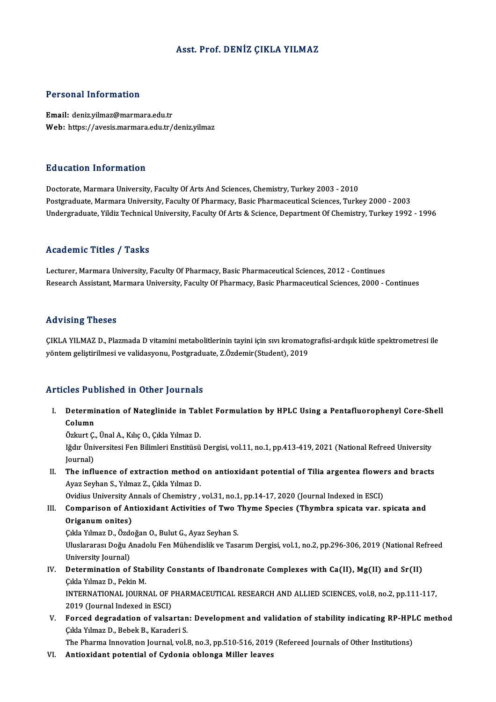## Asst. Prof. DENİZ ÇIKLA YILMAZ

## Personal Information

Email: deniz.yilmaz@marmara.edu.tr Web: https://avesis.marmara.edu.tr/deniz.yilmaz

### Education Information

Doctorate, Marmara University, Faculty Of Arts And Sciences, Chemistry, Turkey 2003 - 2010 Postgraduate, Marmara University, Faculty Of Pharmacy, Basic Pharmaceutical Sciences, Turkey 2000 - 2003 Undergraduate, Yildiz Technical University, Faculty Of Arts & Science, Department Of Chemistry, Turkey 1992 - 1996

#### Academic Titles / Tasks

Lecturer, Marmara University, Faculty Of Pharmacy, Basic Pharmaceutical Sciences, 2012 - Continues Research Assistant, Marmara University, Faculty Of Pharmacy, Basic Pharmaceutical Sciences, 2000 - Continues

#### Advising Theses

Advising Theses<br>ÇIKLA YILMAZ D., Plazmada D vitamini metabolitlerinin tayini için sıvı kromatografisi-ardışık kütle spektrometresi ile<br>vöntem geliştirilmesi ve validasyonu. Postaraduata 7 Özdemir(Student), 2019 rsa v rorr<sub>i</sub>g "rroooo"<br>ÇIKLA YILMAZ D., Plazmada D vitamini metabolitlerinin tayini için sıvı kromato<br>yöntem geliştirilmesi ve validasyonu, Postgraduate, Z.Özdemir(Student), 2019 yöntem geliştirilmesi ve validasyonu, Postgraduate, Z.Özdemir(Student), 2019<br>Articles Published in Other Journals

rticles Published in Other Journals<br>I. Determination of Nateglinide in Tablet Formulation by HPLC Using a Pentafluorophenyl Core-Shell<br>Column nes 1 al<br>Determi<br>Özlent 6 Determination of Nateglinide in Tab<br>Column<br>Özkurt Ç., Ünal A., Kılıç O., Çıkla Yılmaz D.<br>Jğdır Üniversitesi Fen Bilimleri Enstitüsü

Column<br>Özkurt Ç., Ünal A., Kılıç O., Çıkla Yılmaz D.<br>Iğdır Üniversitesi Fen Bilimleri Enstitüsü Dergisi, vol.11, no.1, pp.413-419, 2021 (National Refreed University<br>Iournal) Özkurt Ç.<br>Iğdır Üni<br>Journal)<br>The infl Iğdır Üniversitesi Fen Bilimleri Enstitüsü Dergisi, vol.11, no.1, pp.413-419, 2021 (National Refreed University<br>Journal)<br>II. The influence of extraction method on antioxidant potential of Tilia argentea flowers and bracts<br>

Journal)<br>The influence of extraction method<br>Ayaz Seyhan S., Yılmaz Z., Çıkla Yılmaz D.<br>Qvidiya University Annala of Chemistry. The influence of extraction method on antioxidant potential of Tilia argentea flower<br>Ayaz Seyhan S., Yılmaz Z., Çıkla Yılmaz D.<br>Ovidius University Annals of Chemistry , vol.31, no.1, pp.14-17, 2020 (Journal Indexed in ESCI

Ayaz Seyhan S., Yılmaz Z., Çıkla Yılmaz D.<br>Ovidius University Annals of Chemistry , vol.31, no.1, pp.14-17, 2020 (Journal Indexed in ESCI)<br>III. Comparison of Antioxidant Activities of Two Thyme Species (Thymbra spicata var Ovidius University A<br>Comparison of An<br>Origanum onites) Comparison of Antioxidant Activities of Two 1<br>Origanum onites)<br>Çıkla Yılmaz D., Özdoğan O., Bulut G., Ayaz Seyhan S.<br>Uluslararası Doğu Anadalu Fan Mühandislik ve Tass

Uluslararası Doğu Anadolu Fen Mühendislik ve Tasarım Dergisi, vol.1, no.2, pp.296-306, 2019 (National Refreed<br>University Journal) Çıkla Yılmaz D., Özde<br>Uluslararası Doğu A<br>University Journal)<br>Datarmination of

- Uluslararası Doğu Anadolu Fen Mühendislik ve Tasarım Dergisi, vol.1, no.2, pp.296-306, 2019 (National Re<br>University Journal)<br>IV. Determination of Stability Constants of Ibandronate Complexes with Ca(II), Mg(II) and Sr(II)<br> University Journal)<br>Determination of Stal<br>Çıkla Yılmaz D., Pekin M.<br>INTERNATIONAL JOURN Determination of Stability Constants of Ibandronate Complexes with Ca(II), Mg(II) and Sr(II)<br>Çıkla Yılmaz D., Pekin M.<br>INTERNATIONAL JOURNAL OF PHARMACEUTICAL RESEARCH AND ALLIED SCIENCES, vol.8, no.2, pp.111-117,<br>2019 (Jo Çıkla Yılmaz D., Pekin M.<br>INTERNATIONAL JOURNAL OF PHARMACEUTICAL RESEARCH AND ALLIED SCIENCES, vol.8, no.2, pp.111-117,<br>2019 (Journal Indexed in ESCI) INTERNATIONAL JOURNAL OF PHARMACEUTICAL RESEARCH AND ALLIED SCIENCES, vol.8, no.2, pp.111-117,<br>2019 (Journal Indexed in ESCI)<br>V. Forced degradation of valsartan: Development and validation of stability indicating RP-HPLC m
- 2019 (Journal Indexed in ESCI)<br>Forced degradation of valsartan<br>Çıkla Yılmaz D., Bebek B., Karaderi S.<br>The Pharma Innevation Journal val. Çıkla Yılmaz D., Bebek B., Karaderi S.<br>The Pharma Innovation Journal, vol.8, no.3, pp.510-516, 2019 (Refereed Journals of Other Institutions)

VI. Antioxidant potential of Cydonia oblonga Miller leaves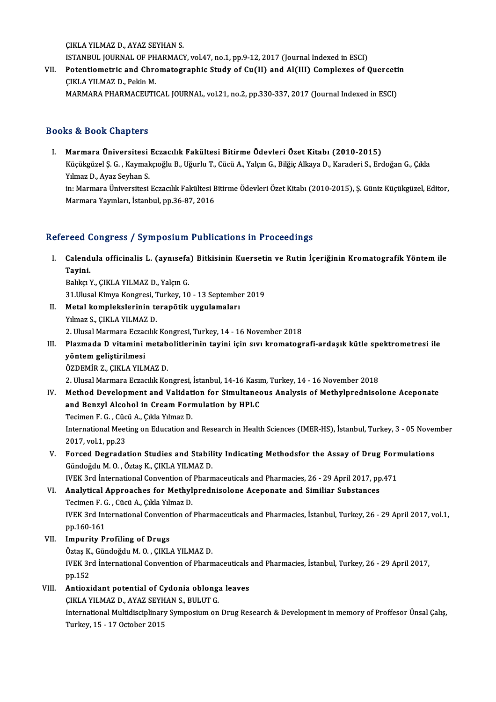ÇIKLA YILMAZ D., AYAZ SEYHAN S.

CIKLA YILMAZ D., AYAZ SEYHAN S.<br>ISTANBUL JOURNAL OF PHARMACY, vol.47, no.1, pp.9-12, 2017 (Journal Indexed in ESCI)<br>Petentiometris and Chromategraphic Study of Cu(II) and Al(III) Complexes of 6

CIKLA YILMAZ D., AYAZ SEYHAN S.<br>ISTANBUL JOURNAL OF PHARMACY, vol.47, no.1, pp.9-12, 2017 (Journal Indexed in ESCI)<br>VII. Potentiometric and Chromatographic Study of Cu(II) and Al(III) Complexes of Quercetin<br>CIVI A YILMAZ D ISTANBUL JOURNAL OF PH<br>Potentiometric and Chro<br>CIKLA YILMAZ D., Pekin M.<br>MARMARA PHARMACEUTI VII. Potentiometric and Chromatographic Study of Cu(II) and Al(III) Complexes of Quercetin<br>CIKLA YILMAZ D., Pekin M.<br>MARMARA PHARMACEUTICAL JOURNAL, vol.21, no.2, pp.330-337, 2017 (Journal Indexed in ESCI)

## Books&Book Chapters

I. Marmara Üniversitesi Eczacılık Fakültesi Bitirme Ödevleri Özet Kitabı (2010-2015) tə & Boon dhaptors<br>Marmara Üniversitesi Eczacılık Fakültesi Bitirme Ödevleri Özet Kitabı (2010-2015)<br>Küçükgüzel Ş. G. , Kaymakçıoğlu B., Uğurlu T., Cücü A., Yalçın G., Bilğiç Alkaya D., Karaderi S., Erdoğan G., Çıkla Yılmaz D., Ayaz Seyhan S. Küçükgüzel Ş. G. , Kaymakçıoğlu B., Uğurlu T., Cücü A., Yalçın G., Bilğiç Alkaya D., Karaderi S., Erdoğan G., Çıkla<br>Yılmaz D., Ayaz Seyhan S.<br>in: Marmara Üniversitesi Eczacılık Fakültesi Bitirme Ödevleri Özet Kitabı (2010in: Marmara Üniversitesi Eczacılık Fakültesi Bitirme Ödevleri Özet Kitabı (2010-2015), Ş. Güniz Küçükgüzel, Editor,<br>Marmara Yayınları, İstanbul, pp.36-87, 2016

# Refereed Congress / Symposium Publications in Proceedings

efereed Congress / Symposium Publications in Proceedings<br>I. Calendula officinalis L. (aynısefa) Bitkisinin Kuersetin ve Rutin İçeriğinin Kromatografik Yöntem ile<br>Tavini room<br>Calend<br>Tayini. Calendula officinalis L. (aynısefa)<br>Tayini.<br>Balıkçı Y., ÇIKLA YILMAZ D., Yalçın G.<br>21 Illusal Kimya Kongresi Turkey, 10

Tayini.<br>Balıkçı Y., ÇIKLA YILMAZ D., Yalçın G.<br>31.Ulusal Kimya Kongresi, Turkey, 10 - 13 September 2019<br>Metal komplekslerinin terenötik uygulamaları Balıkçı Y., ÇIKLA YILMAZ D., Yalçın G.<br>31.Ulusal Kimya Kongresi, Turkey, 10 - 13 Septembe<br>II. Metal komplekslerinin terapötik uygulamaları<br>Yılmaz S., ÇIKLA YILMAZ D.

- 31.Ulusal Kimya Kongresi, 1<br>Metal komplekslerinin te<br>Yılmaz S., ÇIKLA YILMAZ D.<br>2. Hlusal Marmara Eszasılık 2. Ulusal Marmara Eczacılık Kongresi, Turkey, 14 - 16 November 2018
- III. Plazmada D vitamini metabolitlerinin tayini için sıvı kromatografi-ardaşık kütle spektrometresi ile yöntem geliştirilmesi ÖZDEMİR Z., ÇIKLA YILMAZ D.

2. Ulusal Marmara Eczacılık Kongresi, İstanbul, 14-16 Kasım, Turkey, 14 - 16 November 2018

IV. Method Development and Validation for Simultaneous Analysis of Methylprednisolone Aceponate 2. Ulusal Marmara Eczacılık Kongresi, İstanbul, 14-16 Kasın<br>Method Development and Validation for Simultanec<br>and Benzyl Alcohol in Cream Formulation by HPLC<br>Tesimen E.C. Güsü A. Gikle Vılmar D Method Development and Validat<br>and Benzyl Alcohol in Cream Form<br>Tecimen F. G. , Cücü A., Çıkla Yılmaz D.<br>International Meeting on Education on and Benzyl Alcohol in Cream Formulation by HPLC<br>Tecimen F. G. , Cücü A., Çıkla Yılmaz D.<br>International Meeting on Education and Research in Health Sciences (IMER-HS), İstanbul, Turkey, 3 - 05 November<br>2017. val.1. pp.22

Tecimen F. G. , Cück<br>International Meet<br>2017, vol.1, pp.23<br>Eoxeed Desredei International Meeting on Education and Research in Health Sciences (IMER-HS), İstanbul, Turkey, 3 - 05 Nover<br>2017, vol.1, pp.23<br>V. Forced Degradation Studies and Stability Indicating Methodsfor the Assay of Drug Formulatio

- 2017, vol.1, pp.23<br>Forced Degradation Studies and Stabili<br>Gündoğdu M. O. , Öztaş K., ÇIKLA YILMAZ D.<br>WEK 2rd İnternational Convention of Pharn Gündoğdu M. O. , Öztaş K., ÇIKLA YILMAZ D.<br>IVEK 3rd İnternational Convention of Pharmaceuticals and Pharmacies, 26 - 29 April 2017, pp.471
- Gündoğdu M. O. , Öztaş K., ÇIKLA YILMAZ D.<br>IVEK 3rd İnternational Convention of Pharmaceuticals and Pharmacies, 26 29 April 2017, pp<br>VI. Analytical Approaches for Methylprednisolone Aceponate and Similiar Substances<br>Tegi IVEK 3rd İnternational Convention of<br>Analytical Approaches for Methyl<br>Tecimen F. G. , Cücü A., Çıkla Yılmaz D.<br>IVEK 2rd International Convention of Analytical Approaches for Methylprednisolone Aceponate and Similiar Substances<br>Tecimen F. G. , Cücü A., Çıkla Yılmaz D.<br>IVEK 3rd International Convention of Pharmaceuticals and Pharmacies, İstanbul, Turkey, 26 - 29 April 2 Tecimen F. G<br>IVEK 3rd Int<br>pp.160-161<br>Impurity P. pp.160-161<br>VII. Impurity Profiling of Drugs
- pp.160-161<br>I<mark>mpurity Profiling of Drugs</mark><br>Öztaş K., Gündoğdu M. O. , ÇIKLA YILMAZ D.<br>WEK 2rd İnternational Canvention of Pharn IVEK 3rd İnternational Convention of Pharmaceuticals and Pharmacies, İstanbul, Turkey, 26 - 29 April 2017,<br>pp.152 Öztaş K.<br>IVEK 3r<br>pp.152 IVEK 3rd International Convention of Pharmaceuticals<br>pp.152<br>VIII. Antioxidant potential of Cydonia oblonga leaves<br>CIVI A VII MAZ D. AVAZ SEVUAN S. PULUT C pp.152<br><mark>Antioxidant potential of Cydonia oblong</mark>:<br>ÇIKLA YILMAZ D., AYAZ SEYHAN S., BULUT G.<br>International Multidissiplinery Symposium on
- 

CIKLA YILMAZ D., AYAZ SEYHAN S., BULUT G.<br>International Multidisciplinary Symposium on Drug Research & Development in memory of Proffesor Ünsal Çalış, Turkey, 15 - 17 October 2015